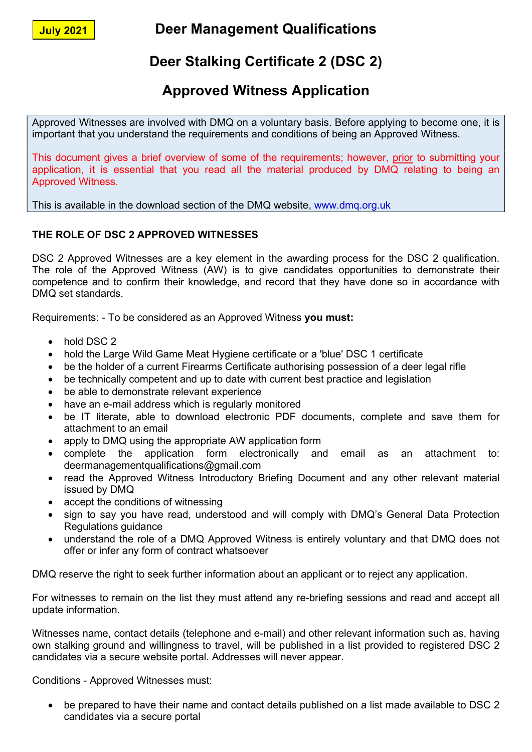July 2021

Deer Management Qualifications

# Deer Stalking Certificate 2 (DSC 2)

## Approved Witness Application

Approved Witnesses are involved with DMQ on a voluntary basis. Before applying to become one, it is important that you understand the requirements and conditions of being an Approved Witness.

This document gives a brief overview of some of the requirements; however, prior to submitting your application, it is essential that you read all the material produced by DMQ relating to being an Approved Witness.

This is available in the download section of the DMQ website, www.dmq.org.uk

### THE ROLE OF DSC 2 APPROVED WITNESSES

DSC 2 Approved Witnesses are a key element in the awarding process for the DSC 2 qualification. The role of the Approved Witness (AW) is to give candidates opportunities to demonstrate their competence and to confirm their knowledge, and record that they have done so in accordance with DMQ set standards.

Requirements: - To be considered as an Approved Witness you must:

- hold DSC 2
- hold the Large Wild Game Meat Hygiene certificate or a 'blue' DSC 1 certificate
- be the holder of a current Firearms Certificate authorising possession of a deer legal rifle
- be technically competent and up to date with current best practice and legislation
- be able to demonstrate relevant experience
- have an e-mail address which is regularly monitored
- be IT literate, able to download electronic PDF documents, complete and save them for attachment to an email
- apply to DMQ using the appropriate AW application form
- complete the application form electronically and email as an attachment to: deermanagementqualifications@gmail.com
- read the Approved Witness Introductory Briefing Document and any other relevant material issued by DMQ
- accept the conditions of witnessing
- sign to say you have read, understood and will comply with DMQ's General Data Protection Regulations guidance
- understand the role of a DMQ Approved Witness is entirely voluntary and that DMQ does not offer or infer any form of contract whatsoever

DMQ reserve the right to seek further information about an applicant or to reject any application.

For witnesses to remain on the list they must attend any re-briefing sessions and read and accept all update information.

Witnesses name, contact details (telephone and e-mail) and other relevant information such as, having own stalking ground and willingness to travel, will be published in a list provided to registered DSC 2 candidates via a secure website portal. Addresses will never appear.

Conditions - Approved Witnesses must:

 be prepared to have their name and contact details published on a list made available to DSC 2 candidates via a secure portal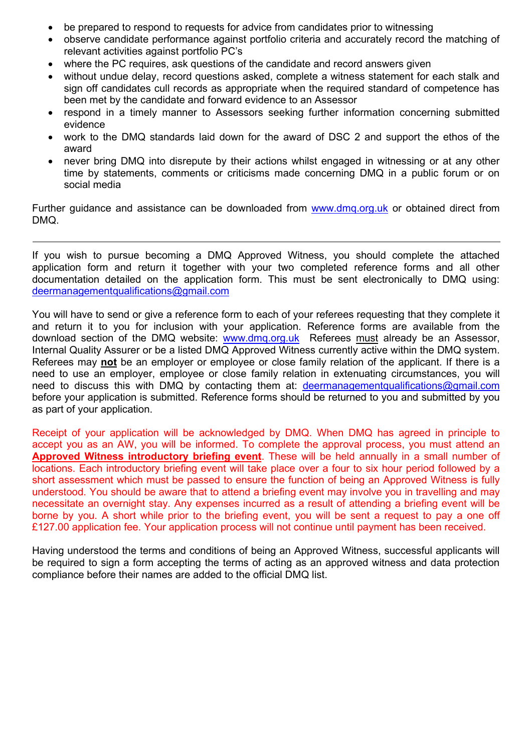- be prepared to respond to requests for advice from candidates prior to witnessing
- observe candidate performance against portfolio criteria and accurately record the matching of relevant activities against portfolio PC's
- where the PC requires, ask questions of the candidate and record answers given
- without undue delay, record questions asked, complete a witness statement for each stalk and sign off candidates cull records as appropriate when the required standard of competence has been met by the candidate and forward evidence to an Assessor
- respond in a timely manner to Assessors seeking further information concerning submitted evidence
- work to the DMQ standards laid down for the award of DSC 2 and support the ethos of the award
- never bring DMQ into disrepute by their actions whilst engaged in witnessing or at any other time by statements, comments or criticisms made concerning DMQ in a public forum or on social media

Further guidance and assistance can be downloaded from www.dmq.org.uk or obtained direct from DMQ.

If you wish to pursue becoming a DMQ Approved Witness, you should complete the attached application form and return it together with your two completed reference forms and all other documentation detailed on the application form. This must be sent electronically to DMQ using: deermanagementqualifications@gmail.com

You will have to send or give a reference form to each of your referees requesting that they complete it and return it to you for inclusion with your application. Reference forms are available from the download section of the DMQ website: www.dmq.org.uk Referees must already be an Assessor, Internal Quality Assurer or be a listed DMQ Approved Witness currently active within the DMQ system. Referees may not be an employer or employee or close family relation of the applicant. If there is a need to use an employer, employee or close family relation in extenuating circumstances, you will need to discuss this with DMQ by contacting them at: deermanagementqualifications@gmail.com before your application is submitted. Reference forms should be returned to you and submitted by you as part of your application.

Receipt of your application will be acknowledged by DMQ. When DMQ has agreed in principle to accept you as an AW, you will be informed. To complete the approval process, you must attend an Approved Witness introductory briefing event. These will be held annually in a small number of locations. Each introductory briefing event will take place over a four to six hour period followed by a short assessment which must be passed to ensure the function of being an Approved Witness is fully understood. You should be aware that to attend a briefing event may involve you in travelling and may necessitate an overnight stay. Any expenses incurred as a result of attending a briefing event will be borne by you. A short while prior to the briefing event, you will be sent a request to pay a one off £127.00 application fee. Your application process will not continue until payment has been received.

Having understood the terms and conditions of being an Approved Witness, successful applicants will be required to sign a form accepting the terms of acting as an approved witness and data protection compliance before their names are added to the official DMQ list.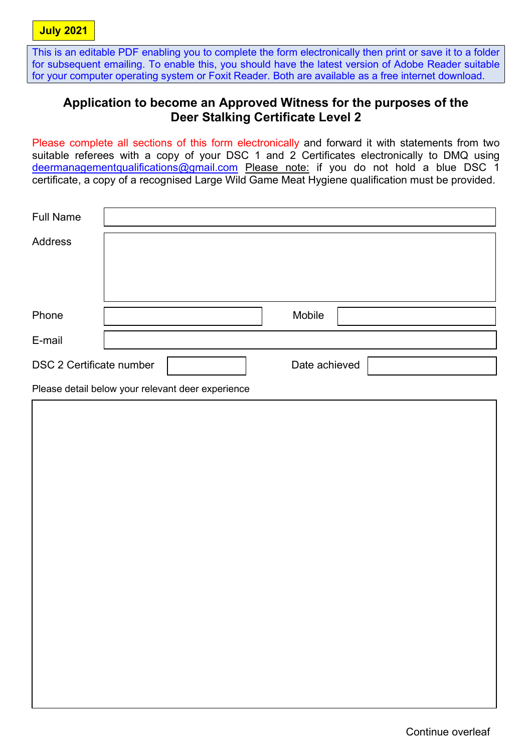Г

This is an editable PDF enabling you to complete the form electronically then print or save it to a folder for subsequent emailing. To enable this, you should have the latest version of Adobe Reader suitable for your computer operating system or Foxit Reader. Both are available as a free internet download.

### Application to become an Approved Witness for the purposes of the Deer Stalking Certificate Level 2

Please complete all sections of this form electronically and forward it with statements from two suitable referees with a copy of your DSC 1 and 2 Certificates electronically to DMQ using deermanagementqualifications@gmail.com Please note: if you do not hold a blue DSC 1 certificate, a copy of a recognised Large Wild Game Meat Hygiene qualification must be provided.

| <b>Full Name</b>         |  |        |               |
|--------------------------|--|--------|---------------|
| <b>Address</b>           |  |        |               |
|                          |  |        |               |
|                          |  |        |               |
|                          |  |        |               |
| Phone                    |  | Mobile |               |
| E-mail                   |  |        |               |
|                          |  |        | Date achieved |
| DSC 2 Certificate number |  |        |               |
|                          |  |        |               |

Please detail below your relevant deer experience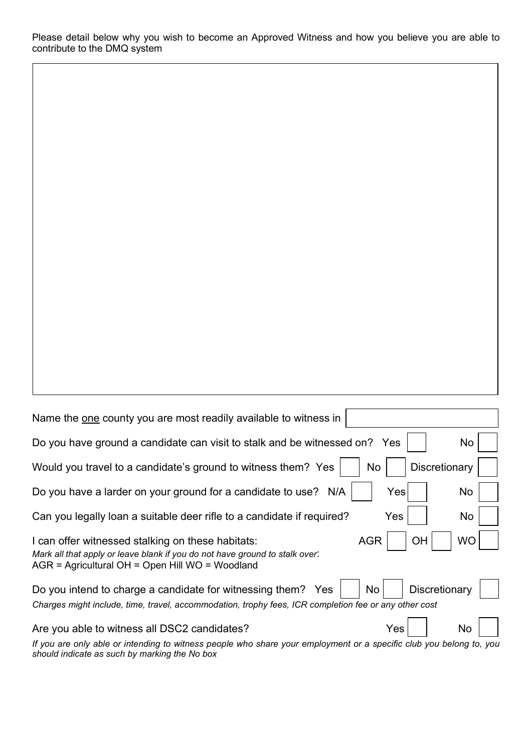Please detail below why you wish to become an Approved Witness and how you believe you are able to contribute to the DMQ system

| Name the one county you are most readily available to witness in                                                                                                                                                     |  |  |  |  |
|----------------------------------------------------------------------------------------------------------------------------------------------------------------------------------------------------------------------|--|--|--|--|
| Do you have ground a candidate can visit to stalk and be witnessed on? Yes<br>No                                                                                                                                     |  |  |  |  |
| Discretionary<br>Would you travel to a candidate's ground to witness them? Yes<br>No                                                                                                                                 |  |  |  |  |
| Do you have a larder on your ground for a candidate to use? N/A<br>Yes<br>No                                                                                                                                         |  |  |  |  |
| Can you legally loan a suitable deer rifle to a candidate if required?<br>Yes<br>No                                                                                                                                  |  |  |  |  |
| <b>WO</b><br><b>AGR</b><br>I can offer witnessed stalking on these habitats:<br>ОH<br>Mark all that apply or leave blank if you do not have ground to stalk over:<br>AGR = Agricultural OH = Open Hill WO = Woodland |  |  |  |  |
| Discretionary<br>Do you intend to charge a candidate for witnessing them? Yes<br>No<br>Charges might include, time, travel, accommodation, trophy fees, ICR completion fee or any other cost                         |  |  |  |  |
| Are you able to witness all DSC2 candidates?<br>No<br>Yes                                                                                                                                                            |  |  |  |  |
| If you are only able or intending to witness people who share your employment or a specific club you belong to, you<br>should indicate as such by marking the No box                                                 |  |  |  |  |